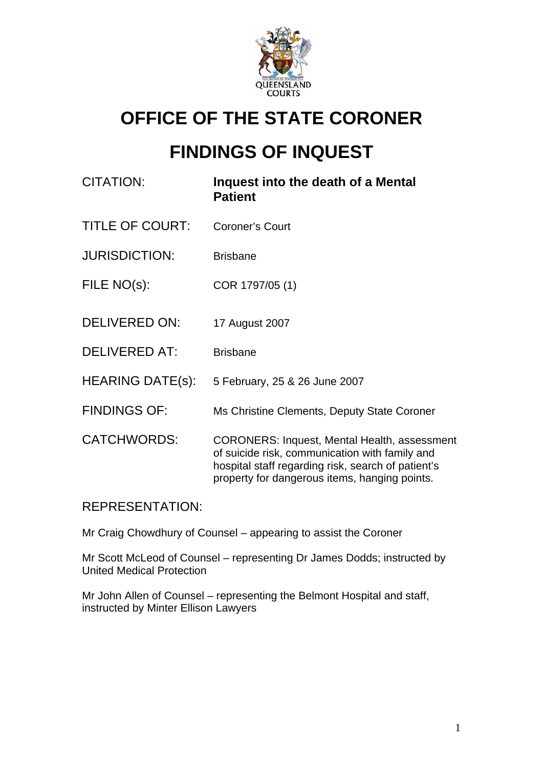

# **OFFICE OF THE STATE CORONER**

# **FINDINGS OF INQUEST**

| <b>CITATION:</b>        | Inquest into the death of a Mental<br><b>Patient</b>                                                                                                                                                         |
|-------------------------|--------------------------------------------------------------------------------------------------------------------------------------------------------------------------------------------------------------|
| <b>TITLE OF COURT:</b>  | <b>Coroner's Court</b>                                                                                                                                                                                       |
| <b>JURISDICTION:</b>    | <b>Brisbane</b>                                                                                                                                                                                              |
| FILE NO(s):             | COR 1797/05 (1)                                                                                                                                                                                              |
| <b>DELIVERED ON:</b>    | 17 August 2007                                                                                                                                                                                               |
| <b>DELIVERED AT:</b>    | <b>Brisbane</b>                                                                                                                                                                                              |
| <b>HEARING DATE(s):</b> | 5 February, 25 & 26 June 2007                                                                                                                                                                                |
| <b>FINDINGS OF:</b>     | Ms Christine Clements, Deputy State Coroner                                                                                                                                                                  |
| <b>CATCHWORDS:</b>      | <b>CORONERS: Inquest, Mental Health, assessment</b><br>of suicide risk, communication with family and<br>hospital staff regarding risk, search of patient's<br>property for dangerous items, hanging points. |

REPRESENTATION:

Mr Craig Chowdhury of Counsel – appearing to assist the Coroner

Mr Scott McLeod of Counsel – representing Dr James Dodds; instructed by United Medical Protection

Mr John Allen of Counsel – representing the Belmont Hospital and staff, instructed by Minter Ellison Lawyers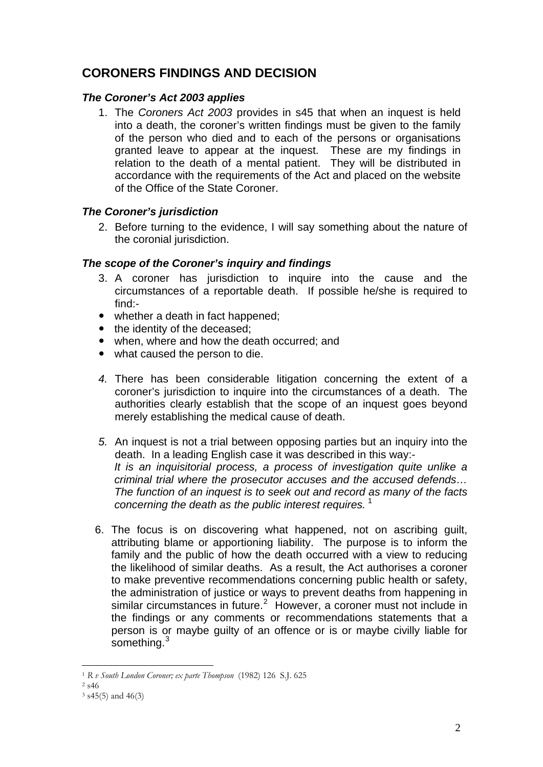## **CORONERS FINDINGS AND DECISION**

### *The Coroner's Act 2003 applies*

1. The *Coroners Act 2003* provides in s45 that when an inquest is held into a death, the coroner's written findings must be given to the family of the person who died and to each of the persons or organisations granted leave to appear at the inquest. These are my findings in relation to the death of a mental patient. They will be distributed in accordance with the requirements of the Act and placed on the website of the Office of the State Coroner.

### *The Coroner's jurisdiction*

2. Before turning to the evidence, I will say something about the nature of the coronial jurisdiction.

### *The scope of the Coroner's inquiry and findings*

- 3. A coroner has jurisdiction to inquire into the cause and the circumstances of a reportable death. If possible he/she is required to find:-
- whether a death in fact happened:
- the identity of the deceased;
- when, where and how the death occurred; and
- what caused the person to die.
- *4.* There has been considerable litigation concerning the extent of a coroner's jurisdiction to inquire into the circumstances of a death. The authorities clearly establish that the scope of an inquest goes beyond merely establishing the medical cause of death.
- *5.* An inquest is not a trial between opposing parties but an inquiry into the death. In a leading English case it was described in this way:- *It is an inquisitorial process, a process of investigation quite unlike a criminal trial where the prosecutor accuses and the accused defends… The function of an inquest is to seek out and record as many of the facts concerning the death as the public interest requires.* [1](#page-1-0)
- 6. The focus is on discovering what happened, not on ascribing guilt, attributing blame or apportioning liability. The purpose is to inform the family and the public of how the death occurred with a view to reducing the likelihood of similar deaths. As a result, the Act authorises a coroner to make preventive recommendations concerning public health or safety, the administration of justice or ways to prevent deaths from happening in similar circumstances in future.<sup>[2](#page-1-1)</sup> However, a coroner must not include in the findings or any comments or recommendations statements that a person is or maybe guilty of an offence or is or maybe civilly liable for something.<sup>[3](#page-1-2)</sup>

<sup>1</sup> <sup>1</sup> *R v South London Coroner; ex parte Thompson* (1982) 126 S.J. 625 2 s46

<span id="page-1-2"></span><span id="page-1-1"></span><span id="page-1-0"></span>

 $3$  s45(5) and 46(3)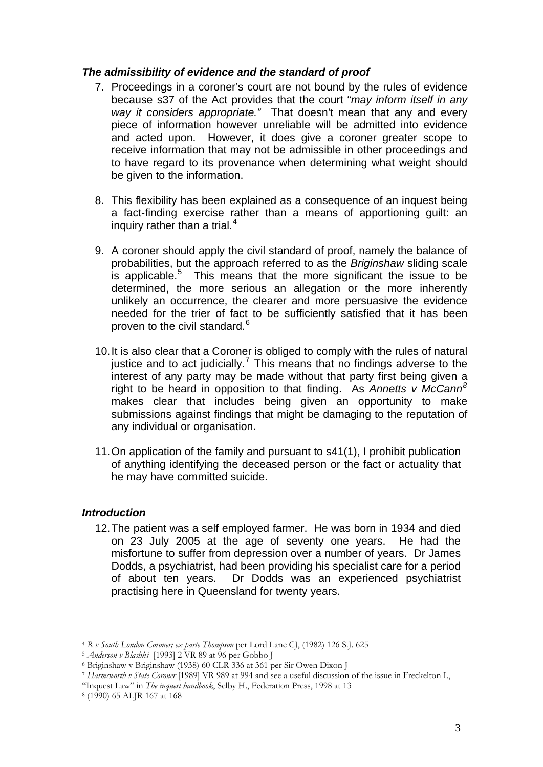#### *The admissibility of evidence and the standard of proof*

- 7. Proceedings in a coroner's court are not bound by the rules of evidence because s37 of the Act provides that the court "*may inform itself in any way it considers appropriate."* That doesn't mean that any and every piece of information however unreliable will be admitted into evidence and acted upon. However, it does give a coroner greater scope to receive information that may not be admissible in other proceedings and to have regard to its provenance when determining what weight should be given to the information.
- 8. This flexibility has been explained as a consequence of an inquest being a fact-finding exercise rather than a means of apportioning guilt: an inquiry rather than a trial.<sup>[4](#page-2-0)</sup>
- 9. A coroner should apply the civil standard of proof, namely the balance of probabilities, but the approach referred to as the *Briginshaw* sliding scale is applicable.<sup>[5](#page-2-1)</sup> This means that the more significant the issue to be determined, the more serious an allegation or the more inherently unlikely an occurrence, the clearer and more persuasive the evidence needed for the trier of fact to be sufficiently satisfied that it has been proven to the civil standard.<sup>[6](#page-2-2)</sup>
- 10. It is also clear that a Coroner is obliged to comply with the rules of natural justice and to act judicially.<sup>[7](#page-2-3)</sup> This means that no findings adverse to the interest of any party may be made without that party first being given a right to be heard in opposition to that finding. As *Annetts v McCann[8](#page-2-4)* makes clear that includes being given an opportunity to make submissions against findings that might be damaging to the reputation of any individual or organisation.
- 11. On application of the family and pursuant to s41(1), I prohibit publication of anything identifying the deceased person or the fact or actuality that he may have committed suicide.

#### *Introduction*

12. The patient was a self employed farmer. He was born in 1934 and died on 23 July 2005 at the age of seventy one years. He had the misfortune to suffer from depression over a number of years. Dr James Dodds, a psychiatrist, had been providing his specialist care for a period of about ten years. Dr Dodds was an experienced psychiatrist practising here in Queensland for twenty years.

<span id="page-2-0"></span><sup>1</sup> <sup>4</sup> *R v South London Coroner; ex parte Thompson* per Lord Lane CJ, (1982) 126 S.J. 625 5 *Anderson v Blashki* [1993] 2 VR 89 at 96 per Gobbo J 6 Briginshaw v Briginshaw (1938) 60 CLR 336 at 361 per Sir Owen Dixon J

<span id="page-2-1"></span>

<span id="page-2-3"></span><span id="page-2-2"></span><sup>7</sup> *Harmsworth v State Coroner* [1989] VR 989 at 994 and see a useful discussion of the issue in Freckelton I.,

<sup>&</sup>quot;Inquest Law" in *The inquest handbook*, Selby H., Federation Press, 1998 at 13 8 (1990) 65 ALJR 167 at 168

<span id="page-2-4"></span>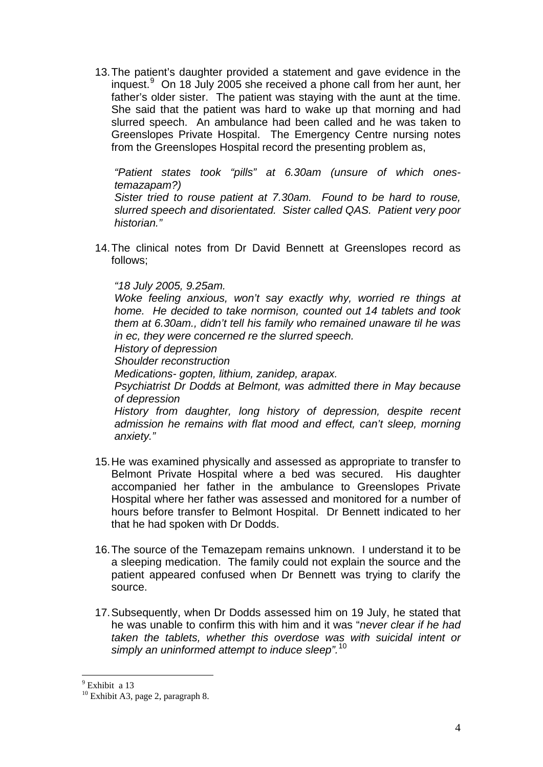13. The patient's daughter provided a statement and gave evidence in the inquest.[9](#page-3-0) On 18 July 2005 she received a phone call from her aunt, her father's older sister. The patient was staying with the aunt at the time. She said that the patient was hard to wake up that morning and had slurred speech. An ambulance had been called and he was taken to Greenslopes Private Hospital. The Emergency Centre nursing notes from the Greenslopes Hospital record the presenting problem as,

*"Patient states took "pills" at 6.30am (unsure of which onestemazapam?)* 

*Sister tried to rouse patient at 7.30am. Found to be hard to rouse, slurred speech and disorientated. Sister called QAS. Patient very poor historian."*

14. The clinical notes from Dr David Bennett at Greenslopes record as follows;

#### *"18 July 2005, 9.25am.*

*Woke feeling anxious, won't say exactly why, worried re things at home. He decided to take normison, counted out 14 tablets and took them at 6.30am., didn't tell his family who remained unaware til he was in ec, they were concerned re the slurred speech.* 

*History of depression* 

*Shoulder reconstruction* 

*Medications- gopten, lithium, zanidep, arapax.* 

*Psychiatrist Dr Dodds at Belmont, was admitted there in May because of depression* 

*History from daughter, long history of depression, despite recent admission he remains with flat mood and effect, can't sleep, morning anxiety."* 

- 15. He was examined physically and assessed as appropriate to transfer to Belmont Private Hospital where a bed was secured. His daughter accompanied her father in the ambulance to Greenslopes Private Hospital where her father was assessed and monitored for a number of hours before transfer to Belmont Hospital. Dr Bennett indicated to her that he had spoken with Dr Dodds.
- 16. The source of the Temazepam remains unknown. I understand it to be a sleeping medication. The family could not explain the source and the patient appeared confused when Dr Bennett was trying to clarify the source.
- 17. Subsequently, when Dr Dodds assessed him on 19 July, he stated that he was unable to confirm this with him and it was "*never clear if he had taken the tablets, whether this overdose was with suicidal intent or simply an uninformed attempt to induce sleep".*[10](#page-3-1)

<u>.</u>

<sup>&</sup>lt;sup>9</sup> Exhibit a 13

<span id="page-3-1"></span><span id="page-3-0"></span> $10$  Exhibit A3, page 2, paragraph 8.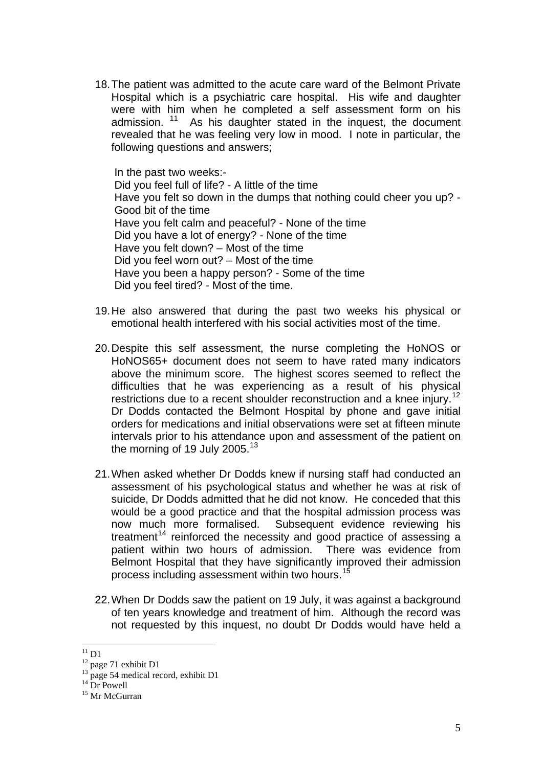18. The patient was admitted to the acute care ward of the Belmont Private Hospital which is a psychiatric care hospital. His wife and daughter were with him when he completed a self assessment form on his admission.  $11$  As his daughter stated in the inquest, the document revealed that he was feeling very low in mood. I note in particular, the following questions and answers;

In the past two weeks:- Did you feel full of life? - A little of the time Have you felt so down in the dumps that nothing could cheer you up? - Good bit of the time Have you felt calm and peaceful? - None of the time Did you have a lot of energy? - None of the time Have you felt down? – Most of the time Did you feel worn out? – Most of the time Have you been a happy person? - Some of the time Did you feel tired? - Most of the time.

- 19. He also answered that during the past two weeks his physical or emotional health interfered with his social activities most of the time.
- 20. Despite this self assessment, the nurse completing the HoNOS or HoNOS65+ document does not seem to have rated many indicators above the minimum score. The highest scores seemed to reflect the difficulties that he was experiencing as a result of his physical restrictions due to a recent shoulder reconstruction and a knee injury.<sup>[12](#page-4-1)</sup> Dr Dodds contacted the Belmont Hospital by phone and gave initial orders for medications and initial observations were set at fifteen minute intervals prior to his attendance upon and assessment of the patient on the morning of 19 July 2005.<sup>[13](#page-4-2)</sup>
- 21. When asked whether Dr Dodds knew if nursing staff had conducted an assessment of his psychological status and whether he was at risk of suicide, Dr Dodds admitted that he did not know. He conceded that this would be a good practice and that the hospital admission process was now much more formalised. Subsequent evidence reviewing his treatment<sup>[14](#page-4-3)</sup> reinforced the necessity and good practice of assessing a patient within two hours of admission. There was evidence from Belmont Hospital that they have significantly improved their admission process including assessment within two hours.<sup>[15](#page-4-4)</sup>
- 22. When Dr Dodds saw the patient on 19 July, it was against a background of ten years knowledge and treatment of him. Although the record was not requested by this inquest, no doubt Dr Dodds would have held a

<sup>&</sup>lt;u>.</u>  $^{11}$  D1

<span id="page-4-1"></span><span id="page-4-0"></span> $12$  page 71 exhibit D1

<span id="page-4-2"></span> $^{13}$  page 54 medical record, exhibit D1

 $14 \frac{14}{n}$  Dr Powell

<span id="page-4-4"></span><span id="page-4-3"></span><sup>&</sup>lt;sup>15</sup> Mr McGurran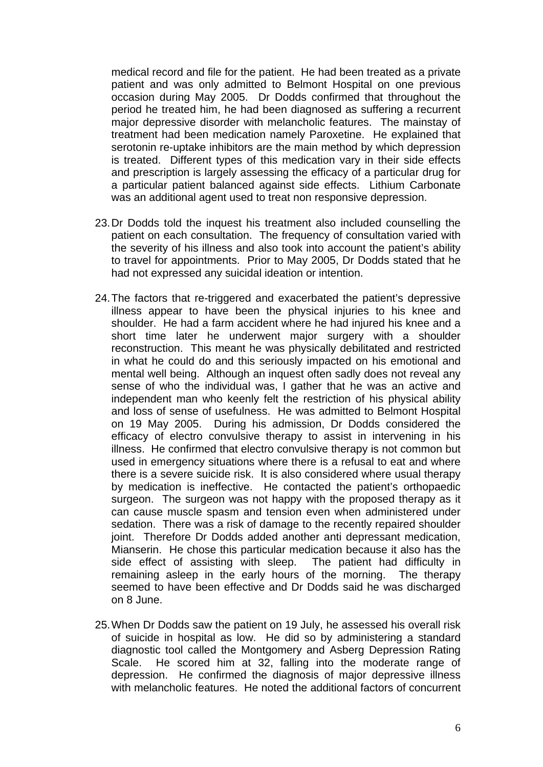medical record and file for the patient. He had been treated as a private patient and was only admitted to Belmont Hospital on one previous occasion during May 2005. Dr Dodds confirmed that throughout the period he treated him, he had been diagnosed as suffering a recurrent major depressive disorder with melancholic features. The mainstay of treatment had been medication namely Paroxetine. He explained that serotonin re-uptake inhibitors are the main method by which depression is treated. Different types of this medication vary in their side effects and prescription is largely assessing the efficacy of a particular drug for a particular patient balanced against side effects. Lithium Carbonate was an additional agent used to treat non responsive depression.

- 23. Dr Dodds told the inquest his treatment also included counselling the patient on each consultation. The frequency of consultation varied with the severity of his illness and also took into account the patient's ability to travel for appointments. Prior to May 2005, Dr Dodds stated that he had not expressed any suicidal ideation or intention.
- 24. The factors that re-triggered and exacerbated the patient's depressive illness appear to have been the physical injuries to his knee and shoulder. He had a farm accident where he had injured his knee and a short time later he underwent major surgery with a shoulder reconstruction. This meant he was physically debilitated and restricted in what he could do and this seriously impacted on his emotional and mental well being. Although an inquest often sadly does not reveal any sense of who the individual was, I gather that he was an active and independent man who keenly felt the restriction of his physical ability and loss of sense of usefulness. He was admitted to Belmont Hospital on 19 May 2005. During his admission, Dr Dodds considered the efficacy of electro convulsive therapy to assist in intervening in his illness. He confirmed that electro convulsive therapy is not common but used in emergency situations where there is a refusal to eat and where there is a severe suicide risk. It is also considered where usual therapy by medication is ineffective. He contacted the patient's orthopaedic surgeon. The surgeon was not happy with the proposed therapy as it can cause muscle spasm and tension even when administered under sedation. There was a risk of damage to the recently repaired shoulder joint. Therefore Dr Dodds added another anti depressant medication, Mianserin. He chose this particular medication because it also has the side effect of assisting with sleep. The patient had difficulty in remaining asleep in the early hours of the morning. The therapy seemed to have been effective and Dr Dodds said he was discharged on 8 June.
- 25. When Dr Dodds saw the patient on 19 July, he assessed his overall risk of suicide in hospital as low. He did so by administering a standard diagnostic tool called the Montgomery and Asberg Depression Rating Scale. He scored him at 32, falling into the moderate range of depression. He confirmed the diagnosis of major depressive illness with melancholic features. He noted the additional factors of concurrent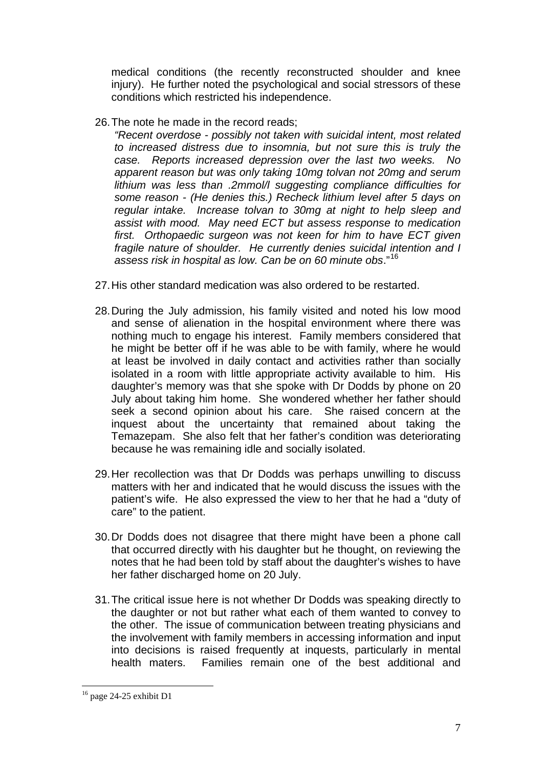medical conditions (the recently reconstructed shoulder and knee injury). He further noted the psychological and social stressors of these conditions which restricted his independence.

26. The note he made in the record reads;

*"Recent overdose - possibly not taken with suicidal intent, most related to increased distress due to insomnia, but not sure this is truly the case. Reports increased depression over the last two weeks. No apparent reason but was only taking 10mg tolvan not 20mg and serum lithium was less than .2mmol/l suggesting compliance difficulties for some reason - (He denies this.) Recheck lithium level after 5 days on regular intake. Increase tolvan to 30mg at night to help sleep and assist with mood. May need ECT but assess response to medication first. Orthopaedic surgeon was not keen for him to have ECT given fragile nature of shoulder. He currently denies suicidal intention and I assess risk in hospital as low. Can be on 60 minute obs*."[16](#page-6-0)

- 27. His other standard medication was also ordered to be restarted.
- 28. During the July admission, his family visited and noted his low mood and sense of alienation in the hospital environment where there was nothing much to engage his interest. Family members considered that he might be better off if he was able to be with family, where he would at least be involved in daily contact and activities rather than socially isolated in a room with little appropriate activity available to him. His daughter's memory was that she spoke with Dr Dodds by phone on 20 July about taking him home. She wondered whether her father should seek a second opinion about his care. She raised concern at the inquest about the uncertainty that remained about taking the Temazepam. She also felt that her father's condition was deteriorating because he was remaining idle and socially isolated.
- 29. Her recollection was that Dr Dodds was perhaps unwilling to discuss matters with her and indicated that he would discuss the issues with the patient's wife. He also expressed the view to her that he had a "duty of care" to the patient.
- 30. Dr Dodds does not disagree that there might have been a phone call that occurred directly with his daughter but he thought, on reviewing the notes that he had been told by staff about the daughter's wishes to have her father discharged home on 20 July.
- 31. The critical issue here is not whether Dr Dodds was speaking directly to the daughter or not but rather what each of them wanted to convey to the other. The issue of communication between treating physicians and the involvement with family members in accessing information and input into decisions is raised frequently at inquests, particularly in mental health maters. Families remain one of the best additional and

<span id="page-6-0"></span><sup>&</sup>lt;sup>16</sup> page 24-25 exhibit D1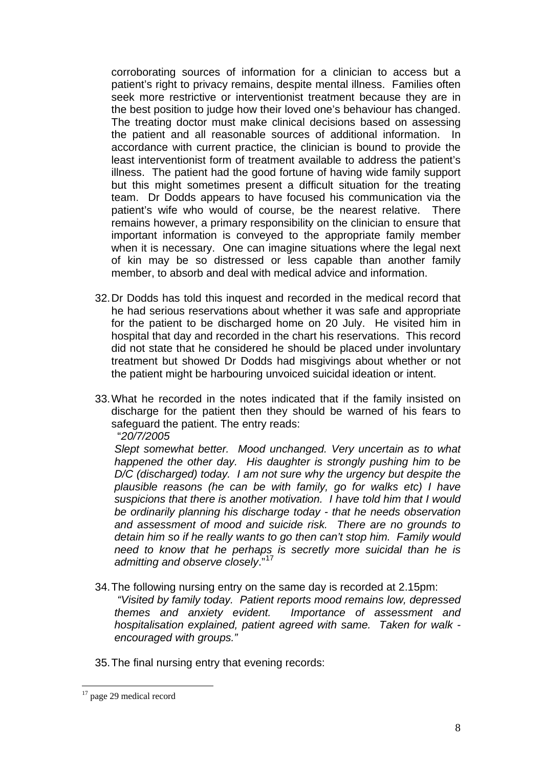corroborating sources of information for a clinician to access but a patient's right to privacy remains, despite mental illness. Families often seek more restrictive or interventionist treatment because they are in the best position to judge how their loved one's behaviour has changed. The treating doctor must make clinical decisions based on assessing the patient and all reasonable sources of additional information. In accordance with current practice, the clinician is bound to provide the least interventionist form of treatment available to address the patient's illness. The patient had the good fortune of having wide family support but this might sometimes present a difficult situation for the treating team. Dr Dodds appears to have focused his communication via the patient's wife who would of course, be the nearest relative. There remains however, a primary responsibility on the clinician to ensure that important information is conveyed to the appropriate family member when it is necessary. One can imagine situations where the legal next of kin may be so distressed or less capable than another family member, to absorb and deal with medical advice and information.

- 32. Dr Dodds has told this inquest and recorded in the medical record that he had serious reservations about whether it was safe and appropriate for the patient to be discharged home on 20 July. He visited him in hospital that day and recorded in the chart his reservations. This record did not state that he considered he should be placed under involuntary treatment but showed Dr Dodds had misgivings about whether or not the patient might be harbouring unvoiced suicidal ideation or intent.
- 33. What he recorded in the notes indicated that if the family insisted on discharge for the patient then they should be warned of his fears to safeguard the patient. The entry reads:

"*20/7/2005* 

*Slept somewhat better. Mood unchanged. Very uncertain as to what happened the other day. His daughter is strongly pushing him to be D/C (discharged) today. I am not sure why the urgency but despite the plausible reasons (he can be with family, go for walks etc) I have suspicions that there is another motivation. I have told him that I would be ordinarily planning his discharge today - that he needs observation and assessment of mood and suicide risk. There are no grounds to detain him so if he really wants to go then can't stop him. Family would need to know that he perhaps is secretly more suicidal than he is admitting and observe closely*."[17](#page-7-0)

- 34. The following nursing entry on the same day is recorded at 2.15pm:  *"Visited by family today. Patient reports mood remains low, depressed themes and anxiety evident. Importance of assessment and hospitalisation explained, patient agreed with same. Taken for walk -*
- 35. The final nursing entry that evening records:

*encouraged with groups."* 

<span id="page-7-0"></span><sup>&</sup>lt;sup>17</sup> page 29 medical record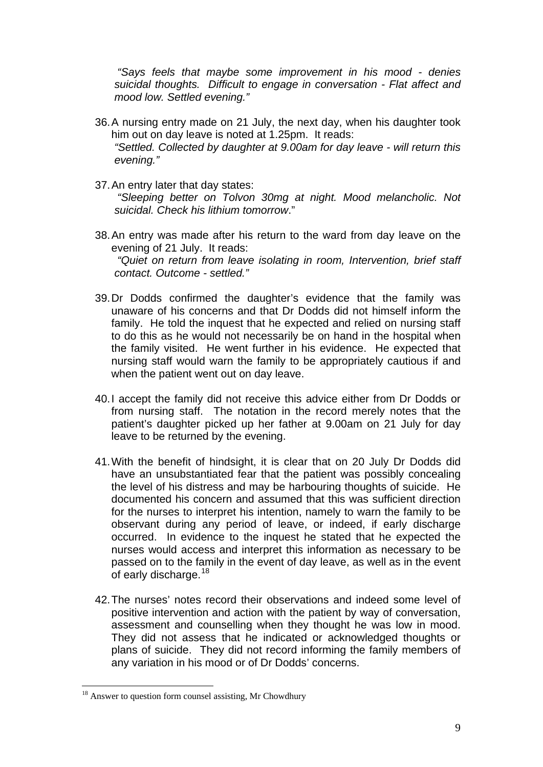*"Says feels that maybe some improvement in his mood - denies suicidal thoughts. Difficult to engage in conversation - Flat affect and mood low. Settled evening."* 

- 36. A nursing entry made on 21 July, the next day, when his daughter took him out on day leave is noted at 1.25pm. It reads: *"Settled. Collected by daughter at 9.00am for day leave - will return this evening."*
- 37. An entry later that day states:

 *"Sleeping better on Tolvon 30mg at night. Mood melancholic. Not suicidal. Check his lithium tomorrow*."

- 38. An entry was made after his return to the ward from day leave on the evening of 21 July. It reads:  *"Quiet on return from leave isolating in room, Intervention, brief staff contact. Outcome - settled."*
- 39. Dr Dodds confirmed the daughter's evidence that the family was unaware of his concerns and that Dr Dodds did not himself inform the family. He told the inquest that he expected and relied on nursing staff to do this as he would not necessarily be on hand in the hospital when the family visited. He went further in his evidence. He expected that nursing staff would warn the family to be appropriately cautious if and when the patient went out on day leave.
- 40. I accept the family did not receive this advice either from Dr Dodds or from nursing staff. The notation in the record merely notes that the patient's daughter picked up her father at 9.00am on 21 July for day leave to be returned by the evening.
- 41. With the benefit of hindsight, it is clear that on 20 July Dr Dodds did have an unsubstantiated fear that the patient was possibly concealing the level of his distress and may be harbouring thoughts of suicide. He documented his concern and assumed that this was sufficient direction for the nurses to interpret his intention, namely to warn the family to be observant during any period of leave, or indeed, if early discharge occurred. In evidence to the inquest he stated that he expected the nurses would access and interpret this information as necessary to be passed on to the family in the event of day leave, as well as in the event of early discharge.<sup>[18](#page-8-0)</sup>
- 42. The nurses' notes record their observations and indeed some level of positive intervention and action with the patient by way of conversation, assessment and counselling when they thought he was low in mood. They did not assess that he indicated or acknowledged thoughts or plans of suicide. They did not record informing the family members of any variation in his mood or of Dr Dodds' concerns.

<span id="page-8-0"></span> $18$  Answer to question form counsel assisting, Mr Chowdhury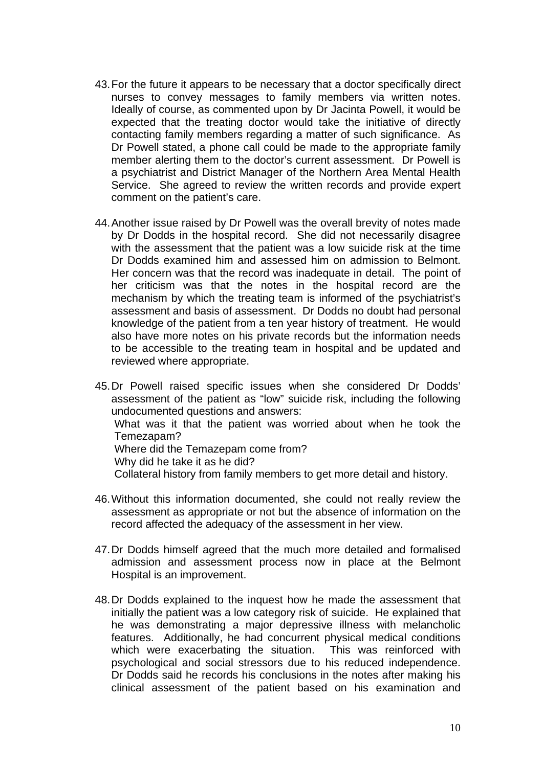- 43. For the future it appears to be necessary that a doctor specifically direct nurses to convey messages to family members via written notes. Ideally of course, as commented upon by Dr Jacinta Powell, it would be expected that the treating doctor would take the initiative of directly contacting family members regarding a matter of such significance. As Dr Powell stated, a phone call could be made to the appropriate family member alerting them to the doctor's current assessment. Dr Powell is a psychiatrist and District Manager of the Northern Area Mental Health Service. She agreed to review the written records and provide expert comment on the patient's care.
- 44. Another issue raised by Dr Powell was the overall brevity of notes made by Dr Dodds in the hospital record. She did not necessarily disagree with the assessment that the patient was a low suicide risk at the time Dr Dodds examined him and assessed him on admission to Belmont. Her concern was that the record was inadequate in detail. The point of her criticism was that the notes in the hospital record are the mechanism by which the treating team is informed of the psychiatrist's assessment and basis of assessment. Dr Dodds no doubt had personal knowledge of the patient from a ten year history of treatment. He would also have more notes on his private records but the information needs to be accessible to the treating team in hospital and be updated and reviewed where appropriate.

45. Dr Powell raised specific issues when she considered Dr Dodds' assessment of the patient as "low" suicide risk, including the following undocumented questions and answers: What was it that the patient was worried about when he took the Temezapam? Where did the Temazepam come from? Why did he take it as he did? Collateral history from family members to get more detail and history.

- 46. Without this information documented, she could not really review the assessment as appropriate or not but the absence of information on the record affected the adequacy of the assessment in her view.
- 47. Dr Dodds himself agreed that the much more detailed and formalised admission and assessment process now in place at the Belmont Hospital is an improvement.
- 48. Dr Dodds explained to the inquest how he made the assessment that initially the patient was a low category risk of suicide. He explained that he was demonstrating a major depressive illness with melancholic features. Additionally, he had concurrent physical medical conditions which were exacerbating the situation. This was reinforced with psychological and social stressors due to his reduced independence. Dr Dodds said he records his conclusions in the notes after making his clinical assessment of the patient based on his examination and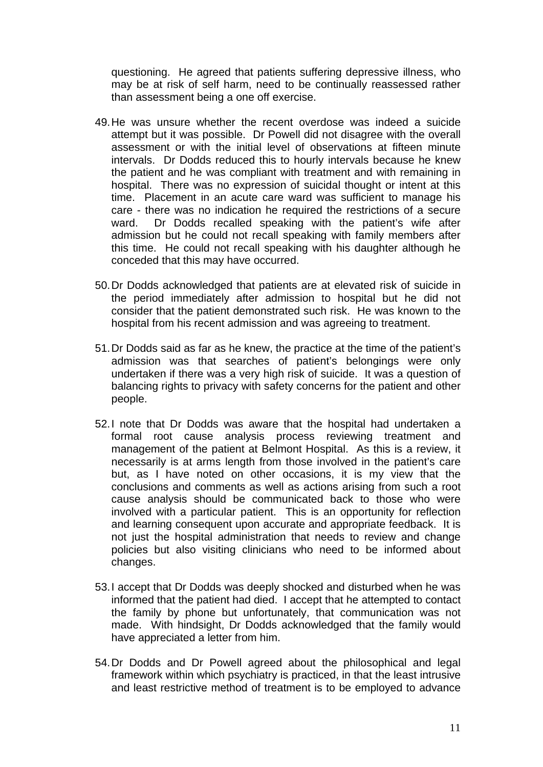questioning. He agreed that patients suffering depressive illness, who may be at risk of self harm, need to be continually reassessed rather than assessment being a one off exercise.

- 49. He was unsure whether the recent overdose was indeed a suicide attempt but it was possible. Dr Powell did not disagree with the overall assessment or with the initial level of observations at fifteen minute intervals. Dr Dodds reduced this to hourly intervals because he knew the patient and he was compliant with treatment and with remaining in hospital. There was no expression of suicidal thought or intent at this time. Placement in an acute care ward was sufficient to manage his care - there was no indication he required the restrictions of a secure ward. Dr Dodds recalled speaking with the patient's wife after admission but he could not recall speaking with family members after this time. He could not recall speaking with his daughter although he conceded that this may have occurred.
- 50. Dr Dodds acknowledged that patients are at elevated risk of suicide in the period immediately after admission to hospital but he did not consider that the patient demonstrated such risk. He was known to the hospital from his recent admission and was agreeing to treatment.
- 51. Dr Dodds said as far as he knew, the practice at the time of the patient's admission was that searches of patient's belongings were only undertaken if there was a very high risk of suicide. It was a question of balancing rights to privacy with safety concerns for the patient and other people.
- 52. I note that Dr Dodds was aware that the hospital had undertaken a formal root cause analysis process reviewing treatment and management of the patient at Belmont Hospital. As this is a review, it necessarily is at arms length from those involved in the patient's care but, as I have noted on other occasions, it is my view that the conclusions and comments as well as actions arising from such a root cause analysis should be communicated back to those who were involved with a particular patient. This is an opportunity for reflection and learning consequent upon accurate and appropriate feedback. It is not just the hospital administration that needs to review and change policies but also visiting clinicians who need to be informed about changes.
- 53. I accept that Dr Dodds was deeply shocked and disturbed when he was informed that the patient had died. I accept that he attempted to contact the family by phone but unfortunately, that communication was not made. With hindsight, Dr Dodds acknowledged that the family would have appreciated a letter from him.
- 54. Dr Dodds and Dr Powell agreed about the philosophical and legal framework within which psychiatry is practiced, in that the least intrusive and least restrictive method of treatment is to be employed to advance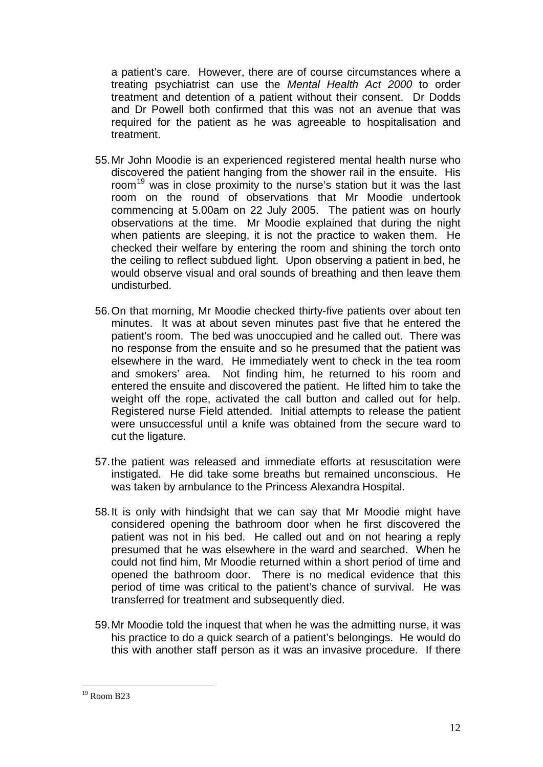a patient's care. However, there are of course circumstances where a treating psychiatrist can use the *Mental Health Act 2000* to order treatment and detention of a patient without their consent. Dr Dodds and Dr Powell both confirmed that this was not an avenue that was required for the patient as he was agreeable to hospitalisation and treatment.

- 55. Mr John Moodie is an experienced registered mental health nurse who discovered the patient hanging from the shower rail in the ensuite. His room<sup>[19](#page-11-0)</sup> was in close proximity to the nurse's station but it was the last room on the round of observations that Mr Moodie undertook commencing at 5.00am on 22 July 2005. The patient was on hourly observations at the time. Mr Moodie explained that during the night when patients are sleeping, it is not the practice to waken them. He checked their welfare by entering the room and shining the torch onto the ceiling to reflect subdued light. Upon observing a patient in bed, he would observe visual and oral sounds of breathing and then leave them undisturbed.
- 56. On that morning, Mr Moodie checked thirty-five patients over about ten minutes. It was at about seven minutes past five that he entered the patient's room. The bed was unoccupied and he called out. There was no response from the ensuite and so he presumed that the patient was elsewhere in the ward. He immediately went to check in the tea room and smokers' area. Not finding him, he returned to his room and entered the ensuite and discovered the patient. He lifted him to take the weight off the rope, activated the call button and called out for help. Registered nurse Field attended. Initial attempts to release the patient were unsuccessful until a knife was obtained from the secure ward to cut the ligature.
- 57. the patient was released and immediate efforts at resuscitation were instigated. He did take some breaths but remained unconscious. He was taken by ambulance to the Princess Alexandra Hospital.
- 58. It is only with hindsight that we can say that Mr Moodie might have considered opening the bathroom door when he first discovered the patient was not in his bed. He called out and on not hearing a reply presumed that he was elsewhere in the ward and searched. When he could not find him, Mr Moodie returned within a short period of time and opened the bathroom door. There is no medical evidence that this period of time was critical to the patient's chance of survival. He was transferred for treatment and subsequently died.
- 59. Mr Moodie told the inquest that when he was the admitting nurse, it was his practice to do a quick search of a patient's belongings. He would do this with another staff person as it was an invasive procedure. If there

<span id="page-11-0"></span> $19$  Room B23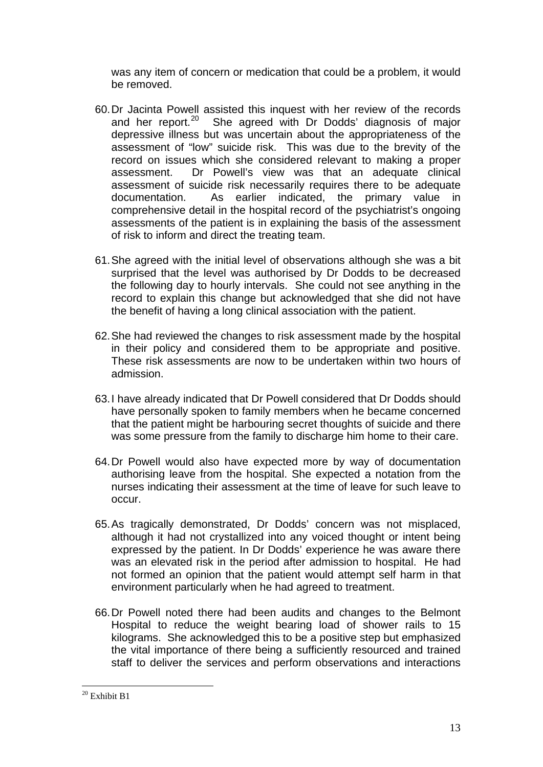was any item of concern or medication that could be a problem, it would be removed.

- 60. Dr Jacinta Powell assisted this inquest with her review of the records and her report. $20$  She agreed with Dr Dodds' diagnosis of major depressive illness but was uncertain about the appropriateness of the assessment of "low" suicide risk. This was due to the brevity of the record on issues which she considered relevant to making a proper assessment. Dr Powell's view was that an adequate clinical assessment of suicide risk necessarily requires there to be adequate documentation. As earlier indicated, the primary value in comprehensive detail in the hospital record of the psychiatrist's ongoing assessments of the patient is in explaining the basis of the assessment of risk to inform and direct the treating team.
- 61. She agreed with the initial level of observations although she was a bit surprised that the level was authorised by Dr Dodds to be decreased the following day to hourly intervals. She could not see anything in the record to explain this change but acknowledged that she did not have the benefit of having a long clinical association with the patient.
- 62. She had reviewed the changes to risk assessment made by the hospital in their policy and considered them to be appropriate and positive. These risk assessments are now to be undertaken within two hours of admission.
- 63. I have already indicated that Dr Powell considered that Dr Dodds should have personally spoken to family members when he became concerned that the patient might be harbouring secret thoughts of suicide and there was some pressure from the family to discharge him home to their care.
- 64. Dr Powell would also have expected more by way of documentation authorising leave from the hospital. She expected a notation from the nurses indicating their assessment at the time of leave for such leave to occur.
- 65. As tragically demonstrated, Dr Dodds' concern was not misplaced, although it had not crystallized into any voiced thought or intent being expressed by the patient. In Dr Dodds' experience he was aware there was an elevated risk in the period after admission to hospital. He had not formed an opinion that the patient would attempt self harm in that environment particularly when he had agreed to treatment.
- 66. Dr Powell noted there had been audits and changes to the Belmont Hospital to reduce the weight bearing load of shower rails to 15 kilograms. She acknowledged this to be a positive step but emphasized the vital importance of there being a sufficiently resourced and trained staff to deliver the services and perform observations and interactions

<span id="page-12-0"></span><sup>1</sup> <sup>20</sup> Exhibit B1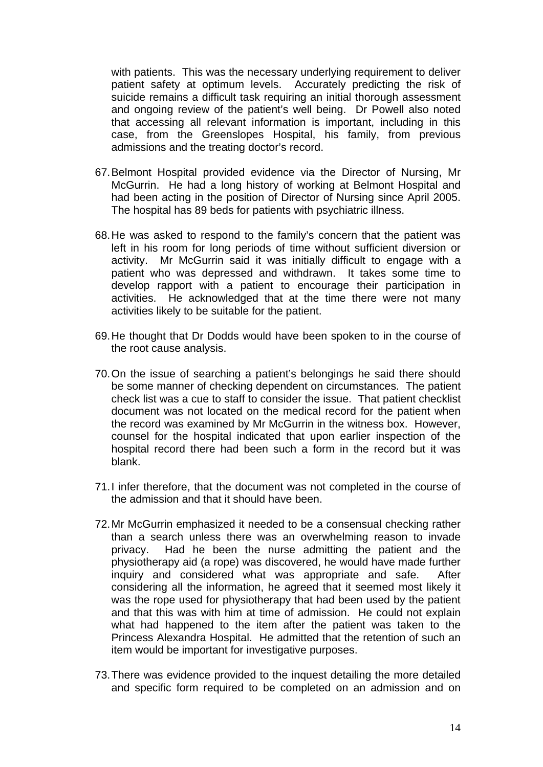with patients. This was the necessary underlying requirement to deliver patient safety at optimum levels. Accurately predicting the risk of suicide remains a difficult task requiring an initial thorough assessment and ongoing review of the patient's well being. Dr Powell also noted that accessing all relevant information is important, including in this case, from the Greenslopes Hospital, his family, from previous admissions and the treating doctor's record.

- 67. Belmont Hospital provided evidence via the Director of Nursing, Mr McGurrin. He had a long history of working at Belmont Hospital and had been acting in the position of Director of Nursing since April 2005. The hospital has 89 beds for patients with psychiatric illness.
- 68. He was asked to respond to the family's concern that the patient was left in his room for long periods of time without sufficient diversion or activity. Mr McGurrin said it was initially difficult to engage with a patient who was depressed and withdrawn. It takes some time to develop rapport with a patient to encourage their participation in activities. He acknowledged that at the time there were not many activities likely to be suitable for the patient.
- 69. He thought that Dr Dodds would have been spoken to in the course of the root cause analysis.
- 70. On the issue of searching a patient's belongings he said there should be some manner of checking dependent on circumstances. The patient check list was a cue to staff to consider the issue. That patient checklist document was not located on the medical record for the patient when the record was examined by Mr McGurrin in the witness box. However, counsel for the hospital indicated that upon earlier inspection of the hospital record there had been such a form in the record but it was blank.
- 71. I infer therefore, that the document was not completed in the course of the admission and that it should have been.
- 72. Mr McGurrin emphasized it needed to be a consensual checking rather than a search unless there was an overwhelming reason to invade privacy. Had he been the nurse admitting the patient and the physiotherapy aid (a rope) was discovered, he would have made further inquiry and considered what was appropriate and safe. After considering all the information, he agreed that it seemed most likely it was the rope used for physiotherapy that had been used by the patient and that this was with him at time of admission. He could not explain what had happened to the item after the patient was taken to the Princess Alexandra Hospital. He admitted that the retention of such an item would be important for investigative purposes.
- 73. There was evidence provided to the inquest detailing the more detailed and specific form required to be completed on an admission and on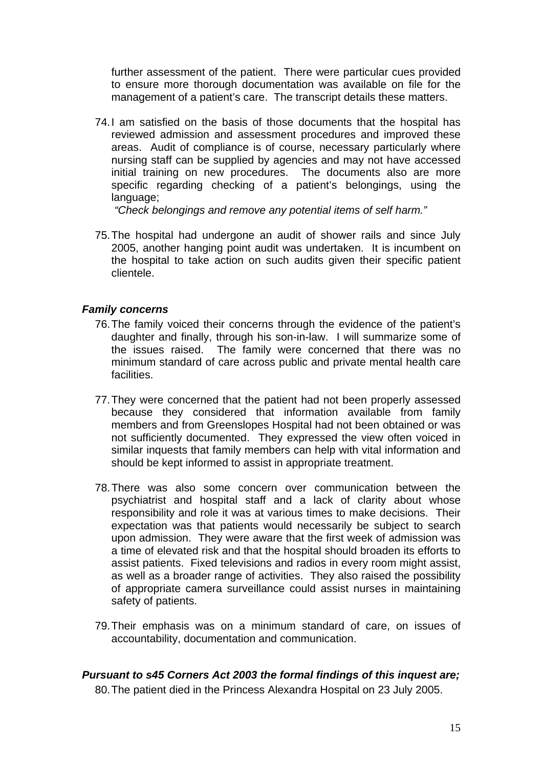further assessment of the patient. There were particular cues provided to ensure more thorough documentation was available on file for the management of a patient's care. The transcript details these matters.

74. I am satisfied on the basis of those documents that the hospital has reviewed admission and assessment procedures and improved these areas. Audit of compliance is of course, necessary particularly where nursing staff can be supplied by agencies and may not have accessed initial training on new procedures. The documents also are more specific regarding checking of a patient's belongings, using the language;

*"Check belongings and remove any potential items of self harm."* 

75. The hospital had undergone an audit of shower rails and since July 2005, another hanging point audit was undertaken. It is incumbent on the hospital to take action on such audits given their specific patient clientele.

#### *Family concerns*

- 76. The family voiced their concerns through the evidence of the patient's daughter and finally, through his son-in-law. I will summarize some of the issues raised. The family were concerned that there was no minimum standard of care across public and private mental health care facilities.
- 77. They were concerned that the patient had not been properly assessed because they considered that information available from family members and from Greenslopes Hospital had not been obtained or was not sufficiently documented. They expressed the view often voiced in similar inquests that family members can help with vital information and should be kept informed to assist in appropriate treatment.
- 78. There was also some concern over communication between the psychiatrist and hospital staff and a lack of clarity about whose responsibility and role it was at various times to make decisions. Their expectation was that patients would necessarily be subject to search upon admission. They were aware that the first week of admission was a time of elevated risk and that the hospital should broaden its efforts to assist patients. Fixed televisions and radios in every room might assist, as well as a broader range of activities. They also raised the possibility of appropriate camera surveillance could assist nurses in maintaining safety of patients.
- 79. Their emphasis was on a minimum standard of care, on issues of accountability, documentation and communication.

#### *Pursuant to s45 Corners Act 2003 the formal findings of this inquest are;*

80. The patient died in the Princess Alexandra Hospital on 23 July 2005.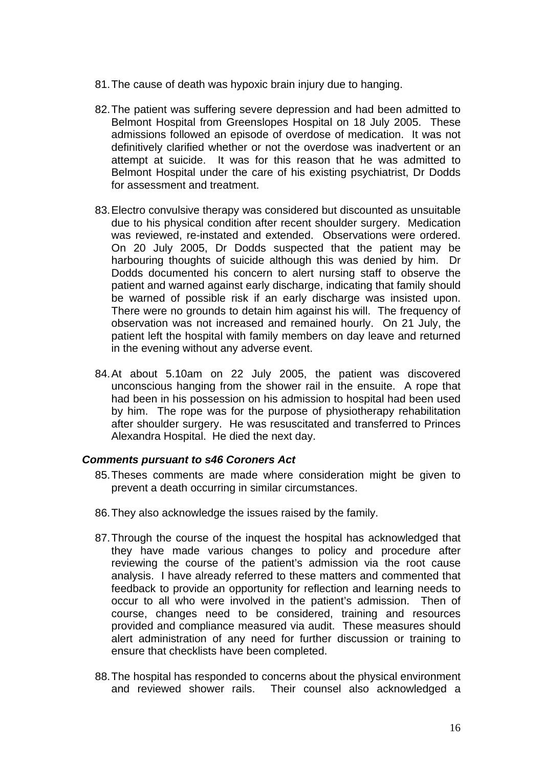- 81. The cause of death was hypoxic brain injury due to hanging.
- 82. The patient was suffering severe depression and had been admitted to Belmont Hospital from Greenslopes Hospital on 18 July 2005. These admissions followed an episode of overdose of medication. It was not definitively clarified whether or not the overdose was inadvertent or an attempt at suicide. It was for this reason that he was admitted to Belmont Hospital under the care of his existing psychiatrist, Dr Dodds for assessment and treatment.
- 83. Electro convulsive therapy was considered but discounted as unsuitable due to his physical condition after recent shoulder surgery. Medication was reviewed, re-instated and extended. Observations were ordered. On 20 July 2005, Dr Dodds suspected that the patient may be harbouring thoughts of suicide although this was denied by him. Dr Dodds documented his concern to alert nursing staff to observe the patient and warned against early discharge, indicating that family should be warned of possible risk if an early discharge was insisted upon. There were no grounds to detain him against his will. The frequency of observation was not increased and remained hourly. On 21 July, the patient left the hospital with family members on day leave and returned in the evening without any adverse event.
- 84. At about 5.10am on 22 July 2005, the patient was discovered unconscious hanging from the shower rail in the ensuite. A rope that had been in his possession on his admission to hospital had been used by him. The rope was for the purpose of physiotherapy rehabilitation after shoulder surgery. He was resuscitated and transferred to Princes Alexandra Hospital. He died the next day.

#### *Comments pursuant to s46 Coroners Act*

- 85. Theses comments are made where consideration might be given to prevent a death occurring in similar circumstances.
- 86. They also acknowledge the issues raised by the family.
- 87. Through the course of the inquest the hospital has acknowledged that they have made various changes to policy and procedure after reviewing the course of the patient's admission via the root cause analysis. I have already referred to these matters and commented that feedback to provide an opportunity for reflection and learning needs to occur to all who were involved in the patient's admission. Then of course, changes need to be considered, training and resources provided and compliance measured via audit. These measures should alert administration of any need for further discussion or training to ensure that checklists have been completed.
- 88. The hospital has responded to concerns about the physical environment and reviewed shower rails. Their counsel also acknowledged a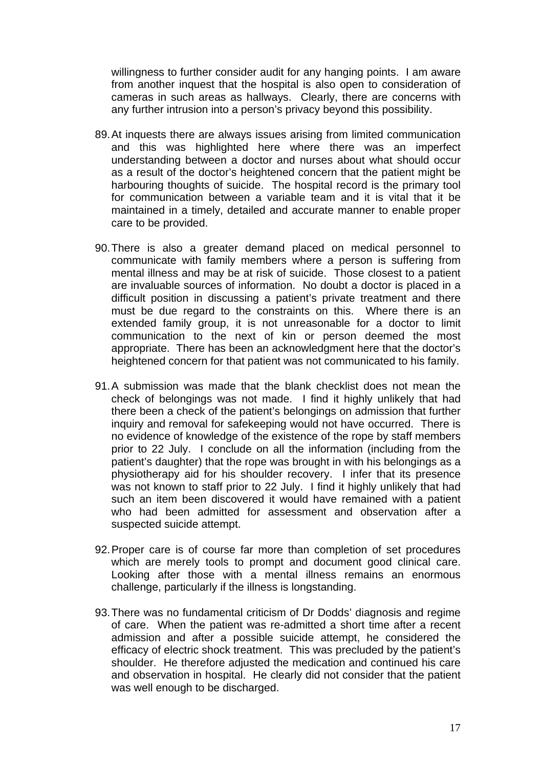willingness to further consider audit for any hanging points. I am aware from another inquest that the hospital is also open to consideration of cameras in such areas as hallways. Clearly, there are concerns with any further intrusion into a person's privacy beyond this possibility.

- 89. At inquests there are always issues arising from limited communication and this was highlighted here where there was an imperfect understanding between a doctor and nurses about what should occur as a result of the doctor's heightened concern that the patient might be harbouring thoughts of suicide. The hospital record is the primary tool for communication between a variable team and it is vital that it be maintained in a timely, detailed and accurate manner to enable proper care to be provided.
- 90. There is also a greater demand placed on medical personnel to communicate with family members where a person is suffering from mental illness and may be at risk of suicide. Those closest to a patient are invaluable sources of information. No doubt a doctor is placed in a difficult position in discussing a patient's private treatment and there must be due regard to the constraints on this. Where there is an extended family group, it is not unreasonable for a doctor to limit communication to the next of kin or person deemed the most appropriate. There has been an acknowledgment here that the doctor's heightened concern for that patient was not communicated to his family.
- 91. A submission was made that the blank checklist does not mean the check of belongings was not made. I find it highly unlikely that had there been a check of the patient's belongings on admission that further inquiry and removal for safekeeping would not have occurred. There is no evidence of knowledge of the existence of the rope by staff members prior to 22 July. I conclude on all the information (including from the patient's daughter) that the rope was brought in with his belongings as a physiotherapy aid for his shoulder recovery. I infer that its presence was not known to staff prior to 22 July. I find it highly unlikely that had such an item been discovered it would have remained with a patient who had been admitted for assessment and observation after a suspected suicide attempt.
- 92. Proper care is of course far more than completion of set procedures which are merely tools to prompt and document good clinical care. Looking after those with a mental illness remains an enormous challenge, particularly if the illness is longstanding.
- 93. There was no fundamental criticism of Dr Dodds' diagnosis and regime of care. When the patient was re-admitted a short time after a recent admission and after a possible suicide attempt, he considered the efficacy of electric shock treatment. This was precluded by the patient's shoulder. He therefore adjusted the medication and continued his care and observation in hospital. He clearly did not consider that the patient was well enough to be discharged.